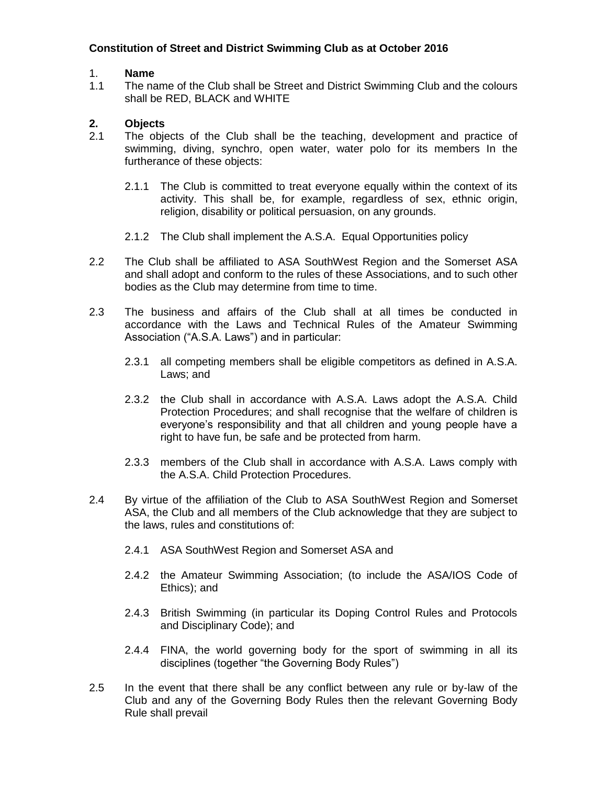# **Constitution of Street and District Swimming Club as at October 2016**

# 1. **Name**

1.1 The name of the Club shall be Street and District Swimming Club and the colours shall be RED, BLACK and WHITE

# **2. Objects**

- 2.1 The objects of the Club shall be the teaching, development and practice of swimming, diving, synchro, open water, water polo for its members In the furtherance of these objects:
	- 2.1.1 The Club is committed to treat everyone equally within the context of its activity. This shall be, for example, regardless of sex, ethnic origin, religion, disability or political persuasion, on any grounds.
	- 2.1.2 The Club shall implement the A.S.A. Equal Opportunities policy
- 2.2 The Club shall be affiliated to ASA SouthWest Region and the Somerset ASA and shall adopt and conform to the rules of these Associations, and to such other bodies as the Club may determine from time to time.
- 2.3 The business and affairs of the Club shall at all times be conducted in accordance with the Laws and Technical Rules of the Amateur Swimming Association ("A.S.A. Laws") and in particular:
	- 2.3.1 all competing members shall be eligible competitors as defined in A.S.A. Laws; and
	- 2.3.2 the Club shall in accordance with A.S.A. Laws adopt the A.S.A. Child Protection Procedures; and shall recognise that the welfare of children is everyone's responsibility and that all children and young people have a right to have fun, be safe and be protected from harm.
	- 2.3.3 members of the Club shall in accordance with A.S.A. Laws comply with the A.S.A. Child Protection Procedures.
- 2.4 By virtue of the affiliation of the Club to ASA SouthWest Region and Somerset ASA, the Club and all members of the Club acknowledge that they are subject to the laws, rules and constitutions of:
	- 2.4.1 ASA SouthWest Region and Somerset ASA and
	- 2.4.2 the Amateur Swimming Association; (to include the ASA/IOS Code of Ethics); and
	- 2.4.3 British Swimming (in particular its Doping Control Rules and Protocols and Disciplinary Code); and
	- 2.4.4 FINA, the world governing body for the sport of swimming in all its disciplines (together "the Governing Body Rules")
- 2.5 In the event that there shall be any conflict between any rule or by-law of the Club and any of the Governing Body Rules then the relevant Governing Body Rule shall prevail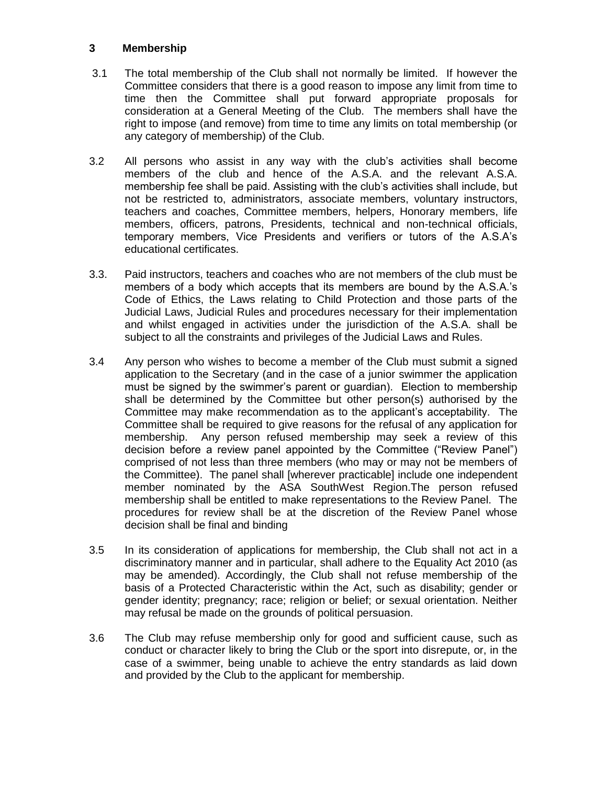### **3 Membership**

- 3.1 The total membership of the Club shall not normally be limited. If however the Committee considers that there is a good reason to impose any limit from time to time then the Committee shall put forward appropriate proposals for consideration at a General Meeting of the Club. The members shall have the right to impose (and remove) from time to time any limits on total membership (or any category of membership) of the Club.
- 3.2 All persons who assist in any way with the club's activities shall become members of the club and hence of the A.S.A. and the relevant A.S.A. membership fee shall be paid. Assisting with the club's activities shall include, but not be restricted to, administrators, associate members, voluntary instructors, teachers and coaches, Committee members, helpers, Honorary members, life members, officers, patrons, Presidents, technical and non-technical officials, temporary members, Vice Presidents and verifiers or tutors of the A.S.A's educational certificates.
- 3.3. Paid instructors, teachers and coaches who are not members of the club must be members of a body which accepts that its members are bound by the A.S.A.'s Code of Ethics, the Laws relating to Child Protection and those parts of the Judicial Laws, Judicial Rules and procedures necessary for their implementation and whilst engaged in activities under the jurisdiction of the A.S.A. shall be subject to all the constraints and privileges of the Judicial Laws and Rules.
- 3.4 Any person who wishes to become a member of the Club must submit a signed application to the Secretary (and in the case of a junior swimmer the application must be signed by the swimmer's parent or guardian). Election to membership shall be determined by the Committee but other person(s) authorised by the Committee may make recommendation as to the applicant's acceptability. The Committee shall be required to give reasons for the refusal of any application for membership. Any person refused membership may seek a review of this decision before a review panel appointed by the Committee ("Review Panel") comprised of not less than three members (who may or may not be members of the Committee). The panel shall [wherever practicable] include one independent member nominated by the ASA SouthWest Region.The person refused membership shall be entitled to make representations to the Review Panel. The procedures for review shall be at the discretion of the Review Panel whose decision shall be final and binding
- 3.5 In its consideration of applications for membership, the Club shall not act in a discriminatory manner and in particular, shall adhere to the Equality Act 2010 (as may be amended). Accordingly, the Club shall not refuse membership of the basis of a Protected Characteristic within the Act, such as disability; gender or gender identity; pregnancy; race; religion or belief; or sexual orientation. Neither may refusal be made on the grounds of political persuasion.
- 3.6 The Club may refuse membership only for good and sufficient cause, such as conduct or character likely to bring the Club or the sport into disrepute, or, in the case of a swimmer, being unable to achieve the entry standards as laid down and provided by the Club to the applicant for membership.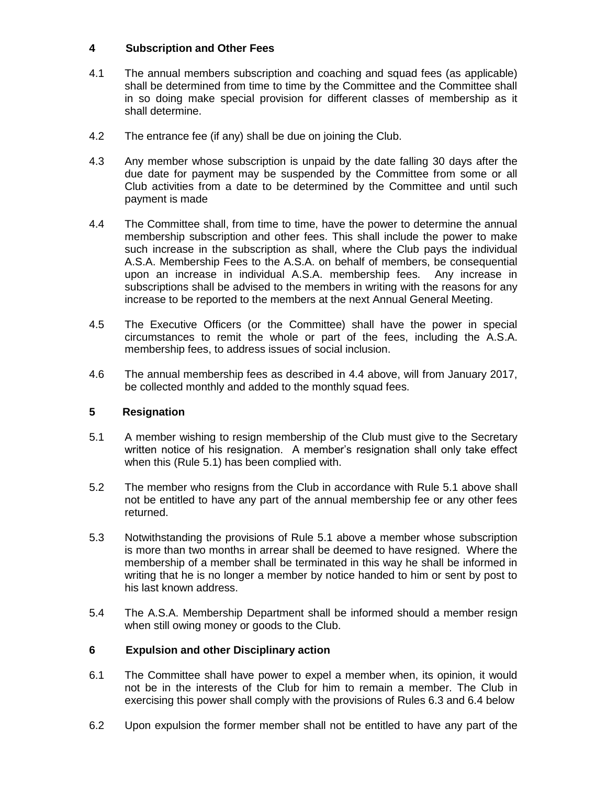# **4 Subscription and Other Fees**

- 4.1 The annual members subscription and coaching and squad fees (as applicable) shall be determined from time to time by the Committee and the Committee shall in so doing make special provision for different classes of membership as it shall determine.
- 4.2 The entrance fee (if any) shall be due on joining the Club.
- 4.3 Any member whose subscription is unpaid by the date falling 30 days after the due date for payment may be suspended by the Committee from some or all Club activities from a date to be determined by the Committee and until such payment is made
- 4.4 The Committee shall, from time to time, have the power to determine the annual membership subscription and other fees. This shall include the power to make such increase in the subscription as shall, where the Club pays the individual A.S.A. Membership Fees to the A.S.A. on behalf of members, be consequential upon an increase in individual A.S.A. membership fees. Any increase in subscriptions shall be advised to the members in writing with the reasons for any increase to be reported to the members at the next Annual General Meeting.
- 4.5 The Executive Officers (or the Committee) shall have the power in special circumstances to remit the whole or part of the fees, including the A.S.A. membership fees, to address issues of social inclusion.
- 4.6 The annual membership fees as described in 4.4 above, will from January 2017, be collected monthly and added to the monthly squad fees.

# **5 Resignation**

- 5.1 A member wishing to resign membership of the Club must give to the Secretary written notice of his resignation. A member's resignation shall only take effect when this (Rule 5.1) has been complied with.
- 5.2 The member who resigns from the Club in accordance with Rule 5.1 above shall not be entitled to have any part of the annual membership fee or any other fees returned.
- 5.3 Notwithstanding the provisions of Rule 5.1 above a member whose subscription is more than two months in arrear shall be deemed to have resigned. Where the membership of a member shall be terminated in this way he shall be informed in writing that he is no longer a member by notice handed to him or sent by post to his last known address.
- 5.4 The A.S.A. Membership Department shall be informed should a member resign when still owing money or goods to the Club.

# **6 Expulsion and other Disciplinary action**

- 6.1 The Committee shall have power to expel a member when, its opinion, it would not be in the interests of the Club for him to remain a member. The Club in exercising this power shall comply with the provisions of Rules 6.3 and 6.4 below
- 6.2 Upon expulsion the former member shall not be entitled to have any part of the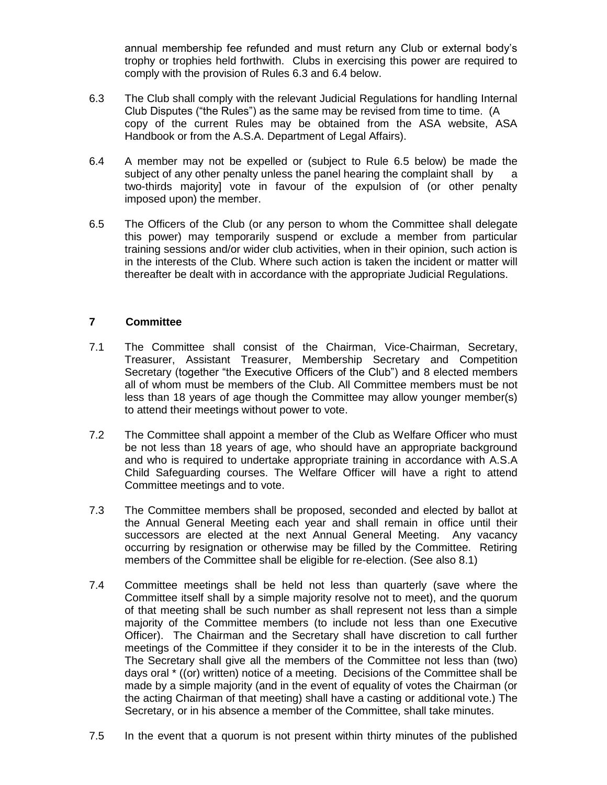annual membership fee refunded and must return any Club or external body's trophy or trophies held forthwith. Clubs in exercising this power are required to comply with the provision of Rules 6.3 and 6.4 below.

- 6.3 6.3 The Club shall comply with the relevant Judicial Regulations for handling Internal Club Disputes ("the Rules") as the same may be revised from time to time. (A copy of the current Rules may be obtained from the ASA website, ASA Handbook or from the A.S.A. Department of Legal Affairs).
- 6.4 6.4 A member may not be expelled or (subject to Rule 6.5 below) be made the subject of any other penalty unless the panel hearing the complaint shall by a two-thirds majority] vote in favour of the expulsion of (or other penalty imposed upon) the member.
- 6.5 6.5 The Officers of the Club (or any person to whom the Committee shall delegate this power) may temporarily suspend or exclude a member from particular training sessions and/or wider club activities, when in their opinion, such action is in the interests of the Club. Where such action is taken the incident or matter will thereafter be dealt with in accordance with the appropriate Judicial Regulations.

# **7 Committee**

- 7.1 The Committee shall consist of the Chairman, Vice-Chairman, Secretary, Treasurer, Assistant Treasurer, Membership Secretary and Competition Secretary (together "the Executive Officers of the Club") and 8 elected members all of whom must be members of the Club. All Committee members must be not less than 18 years of age though the Committee may allow younger member(s) to attend their meetings without power to vote.
- 7.2 The Committee shall appoint a member of the Club as Welfare Officer who must be not less than 18 years of age, who should have an appropriate background and who is required to undertake appropriate training in accordance with A.S.A Child Safeguarding courses. The Welfare Officer will have a right to attend Committee meetings and to vote.
- 7.3 The Committee members shall be proposed, seconded and elected by ballot at the Annual General Meeting each year and shall remain in office until their successors are elected at the next Annual General Meeting. Any vacancy occurring by resignation or otherwise may be filled by the Committee. Retiring members of the Committee shall be eligible for re-election. (See also 8.1)
- 7.4 Committee meetings shall be held not less than quarterly (save where the Committee itself shall by a simple majority resolve not to meet), and the quorum of that meeting shall be such number as shall represent not less than a simple majority of the Committee members (to include not less than one Executive Officer). The Chairman and the Secretary shall have discretion to call further meetings of the Committee if they consider it to be in the interests of the Club. The Secretary shall give all the members of the Committee not less than (two) days oral \* ((or) written) notice of a meeting. Decisions of the Committee shall be made by a simple majority (and in the event of equality of votes the Chairman (or the acting Chairman of that meeting) shall have a casting or additional vote.) The Secretary, or in his absence a member of the Committee, shall take minutes.
- 7.5 In the event that a quorum is not present within thirty minutes of the published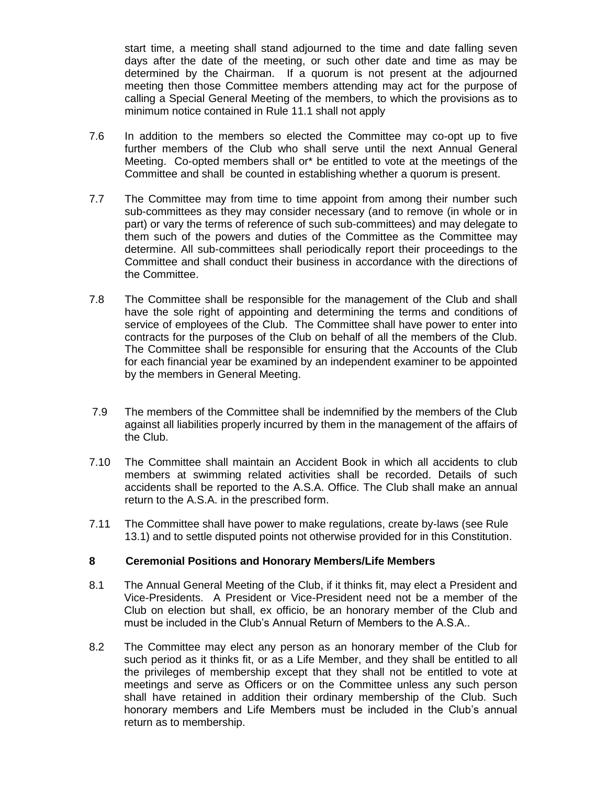start time, a meeting shall stand adjourned to the time and date falling seven days after the date of the meeting, or such other date and time as may be determined by the Chairman. If a quorum is not present at the adjourned meeting then those Committee members attending may act for the purpose of calling a Special General Meeting of the members, to which the provisions as to minimum notice contained in Rule 11.1 shall not apply

- 7.6 In addition to the members so elected the Committee may co-opt up to five further members of the Club who shall serve until the next Annual General Meeting. Co-opted members shall or\* be entitled to vote at the meetings of the Committee and shall be counted in establishing whether a quorum is present.
- 7.7 The Committee may from time to time appoint from among their number such sub-committees as they may consider necessary (and to remove (in whole or in part) or vary the terms of reference of such sub-committees) and may delegate to them such of the powers and duties of the Committee as the Committee may determine. All sub-committees shall periodically report their proceedings to the Committee and shall conduct their business in accordance with the directions of the Committee.
- 7.8 The Committee shall be responsible for the management of the Club and shall have the sole right of appointing and determining the terms and conditions of service of employees of the Club. The Committee shall have power to enter into contracts for the purposes of the Club on behalf of all the members of the Club. The Committee shall be responsible for ensuring that the Accounts of the Club for each financial year be examined by an independent examiner to be appointed by the members in General Meeting.
- 7.9 The members of the Committee shall be indemnified by the members of the Club against all liabilities properly incurred by them in the management of the affairs of the Club.
- 7.10 The Committee shall maintain an Accident Book in which all accidents to club members at swimming related activities shall be recorded. Details of such accidents shall be reported to the A.S.A. Office. The Club shall make an annual return to the A.S.A. in the prescribed form.
- 7.11 The Committee shall have power to make regulations, create by-laws (see Rule 13.1) and to settle disputed points not otherwise provided for in this Constitution.

# **8 Ceremonial Positions and Honorary Members/Life Members**

- 8.1 The Annual General Meeting of the Club, if it thinks fit, may elect a President and Vice-Presidents. A President or Vice-President need not be a member of the Club on election but shall, ex officio, be an honorary member of the Club and must be included in the Club's Annual Return of Members to the A.S.A..
- 8.2 The Committee may elect any person as an honorary member of the Club for such period as it thinks fit, or as a Life Member, and they shall be entitled to all the privileges of membership except that they shall not be entitled to vote at meetings and serve as Officers or on the Committee unless any such person shall have retained in addition their ordinary membership of the Club. Such honorary members and Life Members must be included in the Club's annual return as to membership.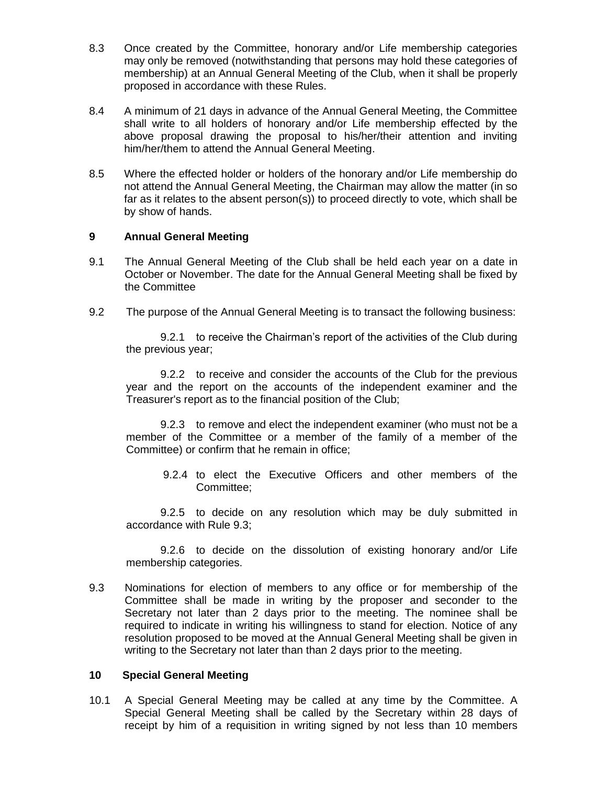- 8.3 Once created by the Committee, honorary and/or Life membership categories may only be removed (notwithstanding that persons may hold these categories of membership) at an Annual General Meeting of the Club, when it shall be properly proposed in accordance with these Rules.
- 8.4 A minimum of 21 days in advance of the Annual General Meeting, the Committee shall write to all holders of honorary and/or Life membership effected by the above proposal drawing the proposal to his/her/their attention and inviting him/her/them to attend the Annual General Meeting.
- 8.5 Where the effected holder or holders of the honorary and/or Life membership do not attend the Annual General Meeting, the Chairman may allow the matter (in so far as it relates to the absent person(s)) to proceed directly to vote, which shall be by show of hands.

### **9 Annual General Meeting**

- 9.1 The Annual General Meeting of the Club shall be held each year on a date in October or November. The date for the Annual General Meeting shall be fixed by the Committee
- 9.2 The purpose of the Annual General Meeting is to transact the following business:

9.2.1 to receive the Chairman's report of the activities of the Club during the previous year;

9.2.2 to receive and consider the accounts of the Club for the previous year and the report on the accounts of the independent examiner and the Treasurer's report as to the financial position of the Club;

9.2.3 to remove and elect the independent examiner (who must not be a member of the Committee or a member of the family of a member of the Committee) or confirm that he remain in office;

9.2.4 to elect the Executive Officers and other members of the Committee;

9.2.5 to decide on any resolution which may be duly submitted in accordance with Rule 9.3;

9.2.6 to decide on the dissolution of existing honorary and/or Life membership categories.

9.3 Nominations for election of members to any office or for membership of the Committee shall be made in writing by the proposer and seconder to the Secretary not later than 2 days prior to the meeting. The nominee shall be required to indicate in writing his willingness to stand for election. Notice of any resolution proposed to be moved at the Annual General Meeting shall be given in writing to the Secretary not later than than 2 days prior to the meeting.

#### **10 Special General Meeting**

10.1 A Special General Meeting may be called at any time by the Committee. A Special General Meeting shall be called by the Secretary within 28 days of receipt by him of a requisition in writing signed by not less than 10 members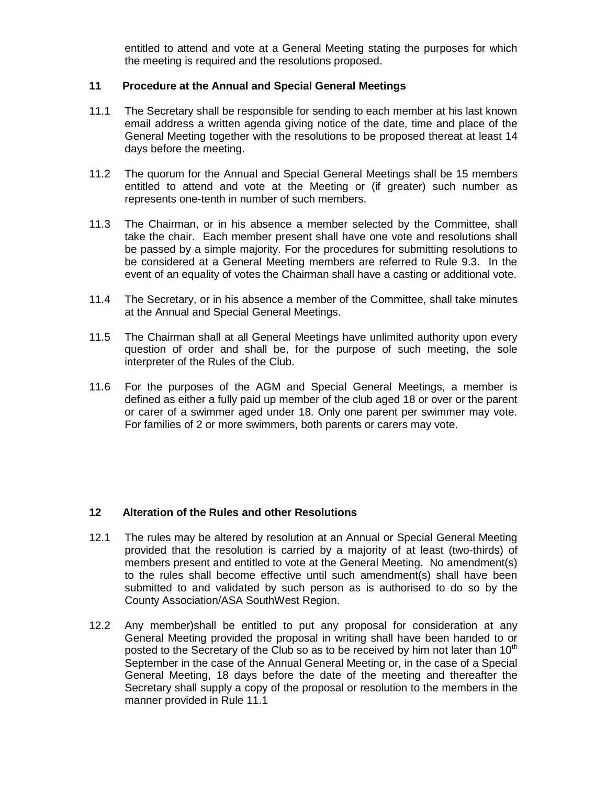entitled to attend and vote at a General Meeting stating the purposes for which the meeting is required and the resolutions proposed.

#### **11 Procedure at the Annual and Special General Meetings**

- 11.1 The Secretary shall be responsible for sending to each member at his last known email address a written agenda giving notice of the date, time and place of the General Meeting together with the resolutions to be proposed thereat at least 14 days before the meeting.
- 11.2 The quorum for the Annual and Special General Meetings shall be 15 members entitled to attend and vote at the Meeting or (if greater) such number as represents one-tenth in number of such members.
- 11.3 The Chairman, or in his absence a member selected by the Committee, shall take the chair. Each member present shall have one vote and resolutions shall be passed by a simple majority. For the procedures for submitting resolutions to be considered at a General Meeting members are referred to Rule 9.3. In the event of an equality of votes the Chairman shall have a casting or additional vote.
- 11.4 The Secretary, or in his absence a member of the Committee, shall take minutes at the Annual and Special General Meetings.
- 11.5 The Chairman shall at all General Meetings have unlimited authority upon every question of order and shall be, for the purpose of such meeting, the sole interpreter of the Rules of the Club.
- 11.6 For the purposes of the AGM and Special General Meetings, a member is defined as either a fully paid up member of the club aged 18 or over or the parent or carer of a swimmer aged under 18. Only one parent per swimmer may vote. For families of 2 or more swimmers, both parents or carers may vote.

### **12 Alteration of the Rules and other Resolutions**

- 12.1 The rules may be altered by resolution at an Annual or Special General Meeting provided that the resolution is carried by a majority of at least (two-thirds) of members present and entitled to vote at the General Meeting. No amendment(s) to the rules shall become effective until such amendment(s) shall have been submitted to and validated by such person as is authorised to do so by the County Association/ASA SouthWest Region.
- 12.2 Any member)shall be entitled to put any proposal for consideration at any General Meeting provided the proposal in writing shall have been handed to or posted to the Secretary of the Club so as to be received by him not later than  $10<sup>th</sup>$ September in the case of the Annual General Meeting or, in the case of a Special General Meeting, 18 days before the date of the meeting and thereafter the Secretary shall supply a copy of the proposal or resolution to the members in the manner provided in Rule 11.1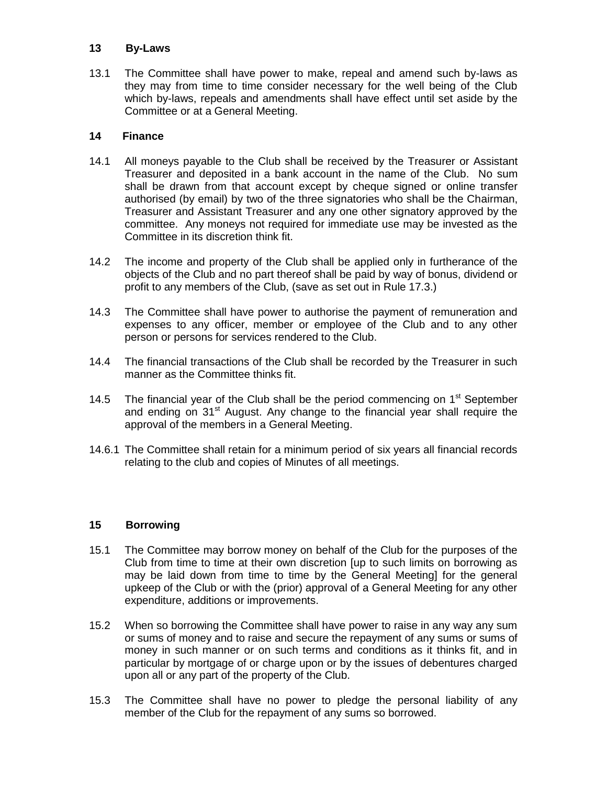### **13 By-Laws**

13.1 The Committee shall have power to make, repeal and amend such by-laws as they may from time to time consider necessary for the well being of the Club which by-laws, repeals and amendments shall have effect until set aside by the Committee or at a General Meeting.

### **14 Finance**

- 14.1 All moneys payable to the Club shall be received by the Treasurer or Assistant Treasurer and deposited in a bank account in the name of the Club. No sum shall be drawn from that account except by cheque signed or online transfer authorised (by email) by two of the three signatories who shall be the Chairman, Treasurer and Assistant Treasurer and any one other signatory approved by the committee. Any moneys not required for immediate use may be invested as the Committee in its discretion think fit.
- 14.2 The income and property of the Club shall be applied only in furtherance of the objects of the Club and no part thereof shall be paid by way of bonus, dividend or profit to any members of the Club, (save as set out in Rule 17.3.)
- 14.3 The Committee shall have power to authorise the payment of remuneration and expenses to any officer, member or employee of the Club and to any other person or persons for services rendered to the Club.
- 14.4 The financial transactions of the Club shall be recorded by the Treasurer in such manner as the Committee thinks fit.
- 14.5 The financial year of the Club shall be the period commencing on  $1<sup>st</sup>$  September and ending on 31<sup>st</sup> August. Any change to the financial year shall require the approval of the members in a General Meeting.
- 14.6.1 The Committee shall retain for a minimum period of six years all financial records relating to the club and copies of Minutes of all meetings.

# **15 Borrowing**

- 15.1 The Committee may borrow money on behalf of the Club for the purposes of the Club from time to time at their own discretion [up to such limits on borrowing as may be laid down from time to time by the General Meeting] for the general upkeep of the Club or with the (prior) approval of a General Meeting for any other expenditure, additions or improvements.
- 15.2 When so borrowing the Committee shall have power to raise in any way any sum or sums of money and to raise and secure the repayment of any sums or sums of money in such manner or on such terms and conditions as it thinks fit, and in particular by mortgage of or charge upon or by the issues of debentures charged upon all or any part of the property of the Club.
- 15.3 The Committee shall have no power to pledge the personal liability of any member of the Club for the repayment of any sums so borrowed.